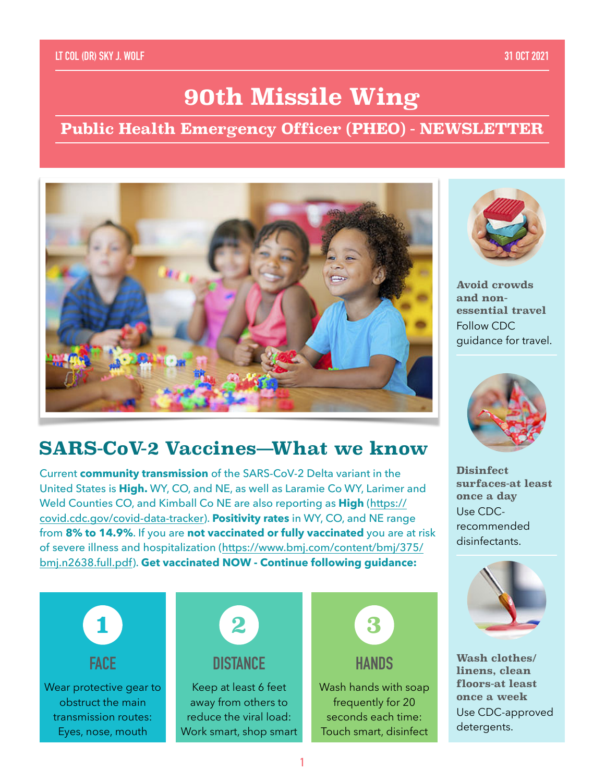### **LT COL (DR) SKY J. WOLF 31 OCT 2021**

# **90th Missile Wing**

## **Public Health Emergency Officer (PHEO) - NEWSLETTER**



## **SARS-CoV-2 Vaccines—What we know**

Current **community transmission** of the SARS-CoV-2 Delta variant in the United States is **High.** WY, CO, and NE, as well as Laramie Co WY, Larimer and Weld Counties CO, and Kimball Co NE are also reporting as **High** ([https://](https://www.cdc.gov/coronavirus/2019-ncov/index.html) [covid.cdc.gov/covid-data-tracker](https://www.cdc.gov/coronavirus/2019-ncov/index.html)). **Positivity rates** in WY, CO, and NE range from **8% to 14.9%**. If you are **not vaccinated or fully vaccinated** you are at risk of severe illness and hospitalization ([https://www.bmj.com/content/bmj/375/](https://www.bmj.com/content/bmj/375/bmj.n2638.full.pdf) [bmj.n2638.full.pdf](https://www.bmj.com/content/bmj/375/bmj.n2638.full.pdf)). **Get vaccinated NOW - Continue following guidance:** 





**Avoid crowds and nonessential travel** Follow CDC guidance for travel.



**Disinfect surfaces-at least once a day** Use CDCrecommended disinfectants.



**Wash clothes/ linens, clean floors-at least once a week** Use CDC-approved detergents.